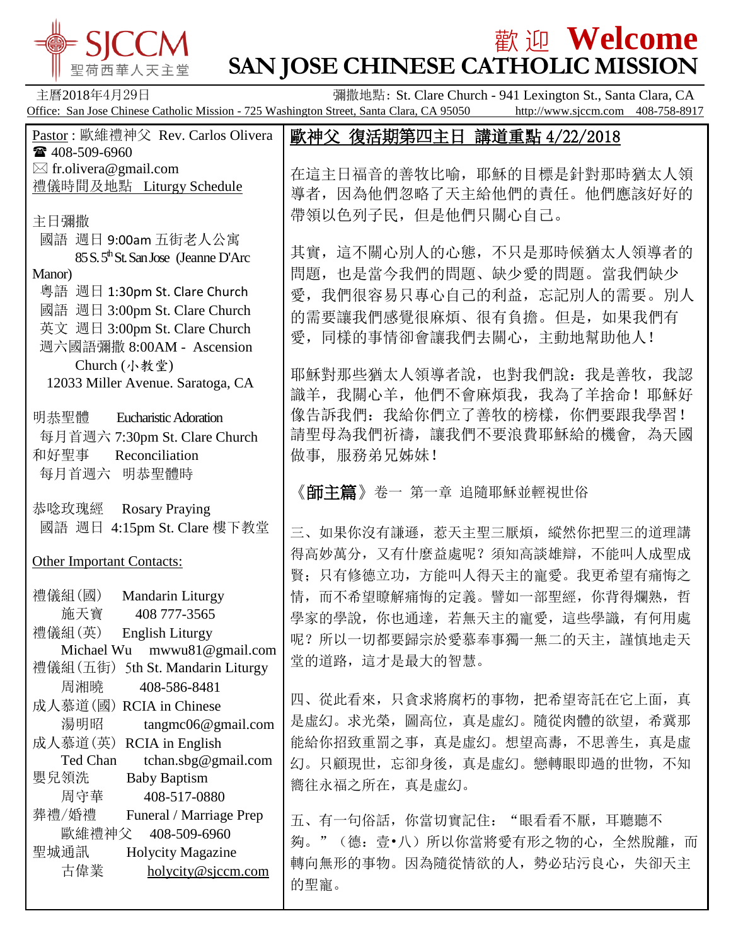

# **歡迎 Welcome SAN JOSE CHINESE CATHOLIC MISSION**

主曆2018年4月29日 彌撒地點: St. Clare Church - 941 Lexington St., Santa Clara, CA Office: San Jose Chinese Catholic Mission - 725 Washington Street, Santa Clara, CA 95050 http://www.sjccm.com 408-758-8917 Pastor : 歐維禮神父 Rev. Carlos Olivera ■ 408-509-6960  $\boxtimes$  fr.olivera@gmail.com 禮儀時間及地點 Liturgy Schedule 主日彌撒 國語 週日 9:00am 五街老人公寓 85 S. 5<sup>th</sup> St. San Jose (Jeanne D'Arc) Manor) 粵語 週日 1:30pm St. Clare Church 國語 週日 3:00pm St. Clare Church 英文 週日 3:00pm St. Clare Church 週六國語彌撒 8:00AM - Ascension Church (小教堂) 12033 Miller Avenue. Saratoga, CA 明恭聖體 Eucharistic Adoration 每月首週六 7:30pm St. Clare Church 和好聖事 Reconciliation 每月首週六 明恭聖體時 恭唸玫瑰經 Rosary Praying 國語 週日 4:15pm St. Clare 樓下教堂 Other Important Contacts: 禮儀組(國) Mandarin Liturgy 施天寶 408 777-3565 禮儀組(英) English Liturgy Michael Wu mwwu81@gmail.com 禮儀組(五街) 5th St. Mandarin Liturgy 周湘曉 408-586-8481 成人慕道(國) RCIA in Chinese 湯明昭 tangmc06@gmail.com 成人慕道(英) RCIA in English Ted Chan tchan.sbg@gmail.com 嬰兒領洗 Baby Baptism 周守華 408-517-0880 葬禮/婚禮 Funeral / Marriage Prep 歐維禮神父 408-509-6960 聖城通訊 Holycity Magazine 古偉業 [holycity@sjccm.com](mailto:holycity@sjccm.com) 歐神父 復活期第四主日 講道重點 4/22/2018 在這主日福音的善牧比喻,耶穌的目標是針對那時猶太人領 導者,因為他們忽略了天主給他們的責任。他們應該好好的 帶領以色列子民,但是他們只關心自己。 其實,這不關心別人的心態,不只是那時候猶太人領導者的 問題,也是當今我們的問題、缺少愛的問題。當我們缺少 愛,我們很容易只專心自己的利益,忘記別人的需要。別人 的需要讓我們感覺很麻煩、很有負擔。但是,如果我們有 愛,同樣的事情卻會讓我們去關心,主動地幫助他人! 耶穌對那些猶太人領導者說,也對我們說:我是善牧,我認 識羊,我關心羊,他們不會麻煩我,我為了羊捨命!耶穌好 像告訴我們:我給你們立了善牧的榜樣,你們要跟我學習! 請聖母為我們祈禱,讓我們不要浪費耶穌給的機會, 為天國 做事, 服務弟兄姊妹! 《師主篇》卷一 第一章 追隨耶穌並輕視世俗 三、如果你沒有謙遜,惹天主聖三厭煩,縱然你把聖三的道理講 得高妙萬分,又有什麼益處呢?須知高談雄辯,不能叫人成聖成 賢;只有修德立功,方能叫人得天主的寵愛。我更希望有痛悔之 情,而不希望瞭解痛悔的定義。譬如一部聖經,你背得爛熟,哲 學家的學說,你也通達,若無天主的寵愛,這些學識,有何用處 呢?所以一切都要歸宗於愛慕奉事獨一無二的天主,謹慎地走天 堂的道路,這才是最大的智慧。 四、從此看來,只貪求將腐朽的事物,把希望寄託在它上面,真 是虛幻。求光榮,圖高位,真是虛幻。隨從肉體的欲望,希冀那 能給你招致重罰之事,真是虛幻。想望高夀,不思善生,真是虛 幻。只顧現世,忘卻身後,真是虛幻。戀轉眼即過的世物,不知 嚮往永福之所在,真是虛幻。 五、有一句俗話,你當切實記住: "眼看看不厭,耳聽聽不 夠。"(德:壹•八)所以你當將愛有形之物的心,全然脫離,而 轉向無形的事物。因為隨從情欲的人,勢必玷污良心,失卻天主 的聖寵。